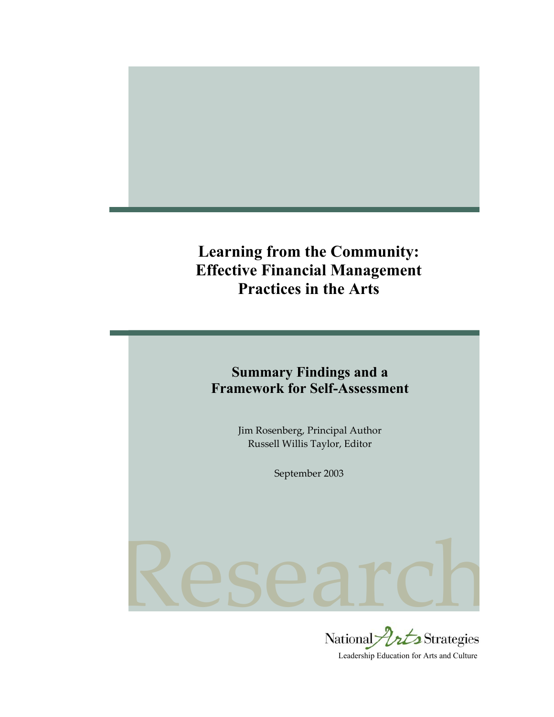# **Learning from the Community: Effective Financial Management Practices in the Arts**



Jim Rosenberg, Principal Author Russell Willis Taylor, Editor

September 2003

# Research

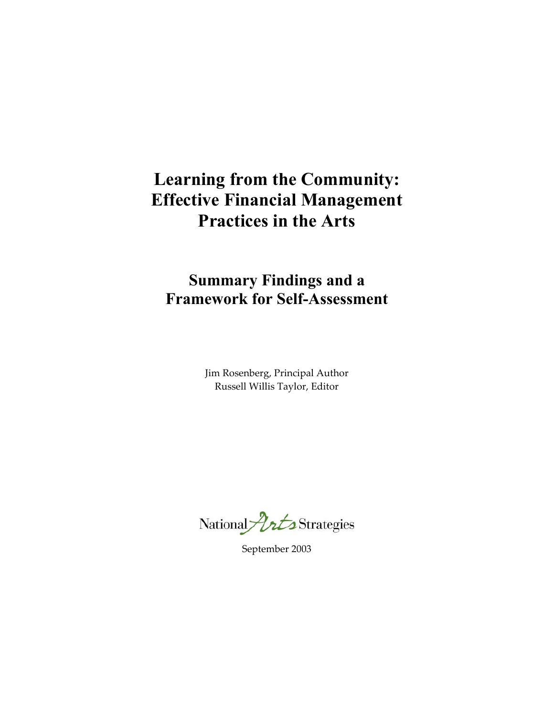# **Learning from the Community: Effective Financial Management Practices in the Arts**

# **Summary Findings and a Framework for Self-Assessment**

Jim Rosenberg, Principal Author Russell Willis Taylor, Editor

National *Port* Strategies

September 2003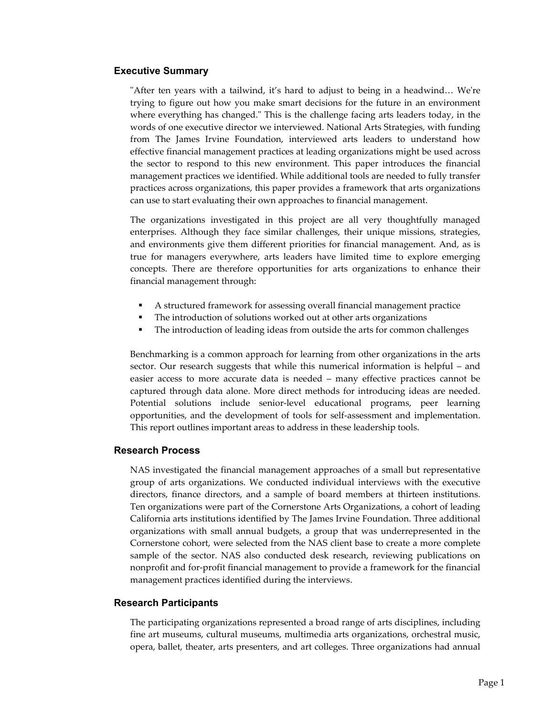#### **Executive Summary**

"After ten years with a tailwind, it's hard to adjust to being in a headwind… We're trying to figure out how you make smart decisions for the future in an environment where everything has changed." This is the challenge facing arts leaders today, in the words of one executive director we interviewed. National Arts Strategies, with funding from The James Irvine Foundation, interviewed arts leaders to understand how effective financial management practices at leading organizations might be used across the sector to respond to this new environment. This paper introduces the financial management practices we identified. While additional tools are needed to fully transfer practices across organizations, this paper provides a framework that arts organizations can use to start evaluating their own approaches to financial management.

The organizations investigated in this project are all very thoughtfully managed enterprises. Although they face similar challenges, their unique missions, strategies, and environments give them different priorities for financial management. And, as is true for managers everywhere, arts leaders have limited time to explore emerging concepts. There are therefore opportunities for arts organizations to enhance their financial management through:

- A structured framework for assessing overall financial management practice
- The introduction of solutions worked out at other arts organizations
- The introduction of leading ideas from outside the arts for common challenges

Benchmarking is a common approach for learning from other organizations in the arts sector. Our research suggests that while this numerical information is helpful – and easier access to more accurate data is needed – many effective practices cannot be captured through data alone. More direct methods for introducing ideas are needed. Potential solutions include senior-level educational programs, peer learning opportunities, and the development of tools for self-assessment and implementation. This report outlines important areas to address in these leadership tools.

#### **Research Process**

NAS investigated the financial management approaches of a small but representative group of arts organizations. We conducted individual interviews with the executive directors, finance directors, and a sample of board members at thirteen institutions. Ten organizations were part of the Cornerstone Arts Organizations, a cohort of leading California arts institutions identified by The James Irvine Foundation. Three additional organizations with small annual budgets, a group that was underrepresented in the Cornerstone cohort, were selected from the NAS client base to create a more complete sample of the sector. NAS also conducted desk research, reviewing publications on nonprofit and for-profit financial management to provide a framework for the financial management practices identified during the interviews.

#### **Research Participants**

The participating organizations represented a broad range of arts disciplines, including fine art museums, cultural museums, multimedia arts organizations, orchestral music, opera, ballet, theater, arts presenters, and art colleges. Three organizations had annual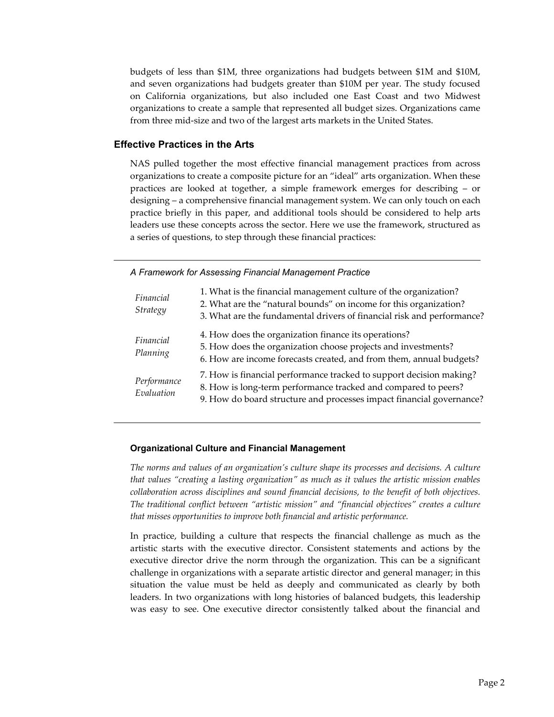budgets of less than \$1M, three organizations had budgets between \$1M and \$10M, and seven organizations had budgets greater than \$10M per year. The study focused on California organizations, but also included one East Coast and two Midwest organizations to create a sample that represented all budget sizes. Organizations came from three mid-size and two of the largest arts markets in the United States.

#### **Effective Practices in the Arts**

NAS pulled together the most effective financial management practices from across organizations to create a composite picture for an "ideal" arts organization. When these practices are looked at together, a simple framework emerges for describing – or designing – a comprehensive financial management system. We can only touch on each practice briefly in this paper, and additional tools should be considered to help arts leaders use these concepts across the sector. Here we use the framework, structured as a series of questions, to step through these financial practices:

*A Framework for Assessing Financial Management Practice* 

| Financial<br>Strategy     | 1. What is the financial management culture of the organization?<br>2. What are the "natural bounds" on income for this organization?<br>3. What are the fundamental drivers of financial risk and performance? |
|---------------------------|-----------------------------------------------------------------------------------------------------------------------------------------------------------------------------------------------------------------|
| Financial<br>Planning     | 4. How does the organization finance its operations?<br>5. How does the organization choose projects and investments?<br>6. How are income forecasts created, and from them, annual budgets?                    |
| Performance<br>Evaluation | 7. How is financial performance tracked to support decision making?<br>8. How is long-term performance tracked and compared to peers?<br>9. How do board structure and processes impact financial governance?   |

#### **Organizational Culture and Financial Management**

*The norms and values of an organization's culture shape its processes and decisions. A culture that values "creating a lasting organization" as much as it values the artistic mission enables collaboration across disciplines and sound financial decisions, to the benefit of both objectives. The traditional conflict between "artistic mission" and "financial objectives" creates a culture that misses opportunities to improve both financial and artistic performance.* 

In practice, building a culture that respects the financial challenge as much as the artistic starts with the executive director. Consistent statements and actions by the executive director drive the norm through the organization. This can be a significant challenge in organizations with a separate artistic director and general manager; in this situation the value must be held as deeply and communicated as clearly by both leaders. In two organizations with long histories of balanced budgets, this leadership was easy to see. One executive director consistently talked about the financial and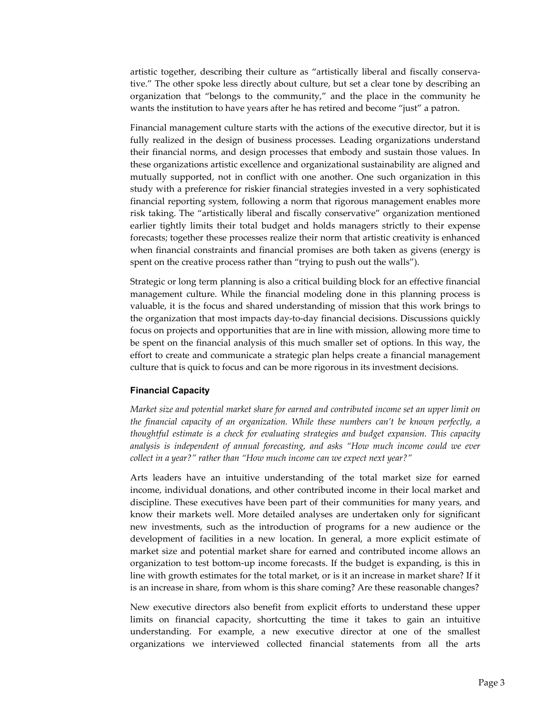artistic together, describing their culture as "artistically liberal and fiscally conservative." The other spoke less directly about culture, but set a clear tone by describing an organization that "belongs to the community," and the place in the community he wants the institution to have years after he has retired and become "just" a patron.

Financial management culture starts with the actions of the executive director, but it is fully realized in the design of business processes. Leading organizations understand their financial norms, and design processes that embody and sustain those values. In these organizations artistic excellence and organizational sustainability are aligned and mutually supported, not in conflict with one another. One such organization in this study with a preference for riskier financial strategies invested in a very sophisticated financial reporting system, following a norm that rigorous management enables more risk taking. The "artistically liberal and fiscally conservative" organization mentioned earlier tightly limits their total budget and holds managers strictly to their expense forecasts; together these processes realize their norm that artistic creativity is enhanced when financial constraints and financial promises are both taken as givens (energy is spent on the creative process rather than "trying to push out the walls").

Strategic or long term planning is also a critical building block for an effective financial management culture. While the financial modeling done in this planning process is valuable, it is the focus and shared understanding of mission that this work brings to the organization that most impacts day-to-day financial decisions. Discussions quickly focus on projects and opportunities that are in line with mission, allowing more time to be spent on the financial analysis of this much smaller set of options. In this way, the effort to create and communicate a strategic plan helps create a financial management culture that is quick to focus and can be more rigorous in its investment decisions.

#### **Financial Capacity**

*Market size and potential market share for earned and contributed income set an upper limit on the financial capacity of an organization. While these numbers can't be known perfectly, a thoughtful estimate is a check for evaluating strategies and budget expansion. This capacity analysis is independent of annual forecasting, and asks "How much income could we ever collect in a year?" rather than "How much income can we expect next year?"* 

Arts leaders have an intuitive understanding of the total market size for earned income, individual donations, and other contributed income in their local market and discipline. These executives have been part of their communities for many years, and know their markets well. More detailed analyses are undertaken only for significant new investments, such as the introduction of programs for a new audience or the development of facilities in a new location. In general, a more explicit estimate of market size and potential market share for earned and contributed income allows an organization to test bottom-up income forecasts. If the budget is expanding, is this in line with growth estimates for the total market, or is it an increase in market share? If it is an increase in share, from whom is this share coming? Are these reasonable changes?

New executive directors also benefit from explicit efforts to understand these upper limits on financial capacity, shortcutting the time it takes to gain an intuitive understanding. For example, a new executive director at one of the smallest organizations we interviewed collected financial statements from all the arts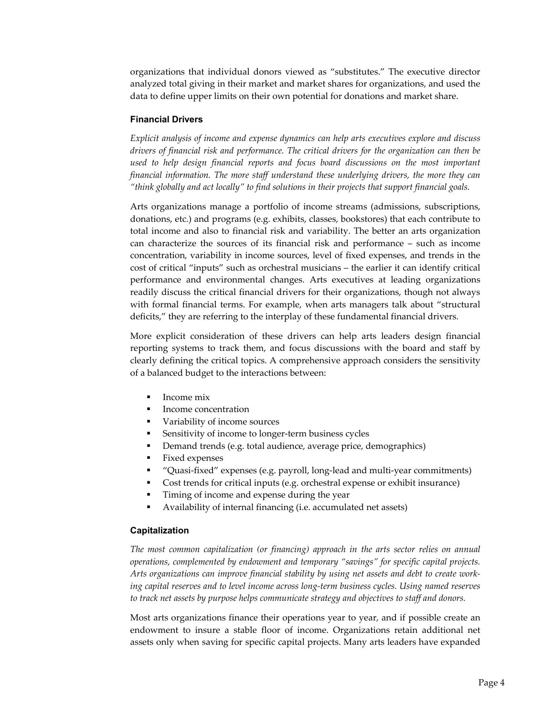organizations that individual donors viewed as "substitutes." The executive director analyzed total giving in their market and market shares for organizations, and used the data to define upper limits on their own potential for donations and market share.

#### **Financial Drivers**

*Explicit analysis of income and expense dynamics can help arts executives explore and discuss drivers of financial risk and performance. The critical drivers for the organization can then be used to help design financial reports and focus board discussions on the most important financial information. The more staff understand these underlying drivers, the more they can "think globally and act locally" to find solutions in their projects that support financial goals.* 

Arts organizations manage a portfolio of income streams (admissions, subscriptions, donations, etc.) and programs (e.g. exhibits, classes, bookstores) that each contribute to total income and also to financial risk and variability. The better an arts organization can characterize the sources of its financial risk and performance – such as income concentration, variability in income sources, level of fixed expenses, and trends in the cost of critical "inputs" such as orchestral musicians – the earlier it can identify critical performance and environmental changes. Arts executives at leading organizations readily discuss the critical financial drivers for their organizations, though not always with formal financial terms. For example, when arts managers talk about "structural deficits," they are referring to the interplay of these fundamental financial drivers.

More explicit consideration of these drivers can help arts leaders design financial reporting systems to track them, and focus discussions with the board and staff by clearly defining the critical topics. A comprehensive approach considers the sensitivity of a balanced budget to the interactions between:

- Income mix
- Income concentration
- Variability of income sources
- Sensitivity of income to longer-term business cycles
- Demand trends (e.g. total audience, average price, demographics)
- **Fixed expenses**
- "Quasi-fixed" expenses (e.g. payroll, long-lead and multi-year commitments)
- Cost trends for critical inputs (e.g. orchestral expense or exhibit insurance)
- **Timing of income and expense during the year**
- Availability of internal financing (i.e. accumulated net assets)

#### **Capitalization**

*The most common capitalization (or financing) approach in the arts sector relies on annual operations, complemented by endowment and temporary "savings" for specific capital projects. Arts organizations can improve financial stability by using net assets and debt to create working capital reserves and to level income across long-term business cycles. Using named reserves to track net assets by purpose helps communicate strategy and objectives to staff and donors.* 

Most arts organizations finance their operations year to year, and if possible create an endowment to insure a stable floor of income. Organizations retain additional net assets only when saving for specific capital projects. Many arts leaders have expanded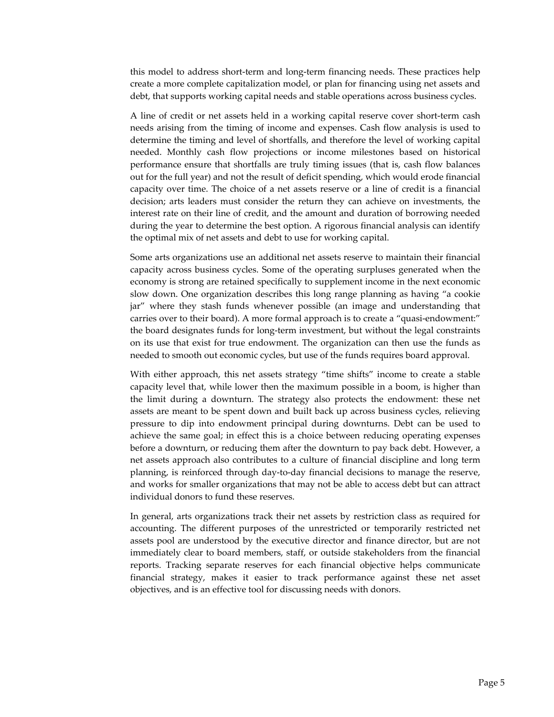this model to address short-term and long-term financing needs. These practices help create a more complete capitalization model, or plan for financing using net assets and debt, that supports working capital needs and stable operations across business cycles.

A line of credit or net assets held in a working capital reserve cover short-term cash needs arising from the timing of income and expenses. Cash flow analysis is used to determine the timing and level of shortfalls, and therefore the level of working capital needed. Monthly cash flow projections or income milestones based on historical performance ensure that shortfalls are truly timing issues (that is, cash flow balances out for the full year) and not the result of deficit spending, which would erode financial capacity over time. The choice of a net assets reserve or a line of credit is a financial decision; arts leaders must consider the return they can achieve on investments, the interest rate on their line of credit, and the amount and duration of borrowing needed during the year to determine the best option. A rigorous financial analysis can identify the optimal mix of net assets and debt to use for working capital.

Some arts organizations use an additional net assets reserve to maintain their financial capacity across business cycles. Some of the operating surpluses generated when the economy is strong are retained specifically to supplement income in the next economic slow down. One organization describes this long range planning as having "a cookie jar" where they stash funds whenever possible (an image and understanding that carries over to their board). A more formal approach is to create a "quasi-endowment:" the board designates funds for long-term investment, but without the legal constraints on its use that exist for true endowment. The organization can then use the funds as needed to smooth out economic cycles, but use of the funds requires board approval.

With either approach, this net assets strategy "time shifts" income to create a stable capacity level that, while lower then the maximum possible in a boom, is higher than the limit during a downturn. The strategy also protects the endowment: these net assets are meant to be spent down and built back up across business cycles, relieving pressure to dip into endowment principal during downturns. Debt can be used to achieve the same goal; in effect this is a choice between reducing operating expenses before a downturn, or reducing them after the downturn to pay back debt. However, a net assets approach also contributes to a culture of financial discipline and long term planning, is reinforced through day-to-day financial decisions to manage the reserve, and works for smaller organizations that may not be able to access debt but can attract individual donors to fund these reserves.

In general, arts organizations track their net assets by restriction class as required for accounting. The different purposes of the unrestricted or temporarily restricted net assets pool are understood by the executive director and finance director, but are not immediately clear to board members, staff, or outside stakeholders from the financial reports. Tracking separate reserves for each financial objective helps communicate financial strategy, makes it easier to track performance against these net asset objectives, and is an effective tool for discussing needs with donors.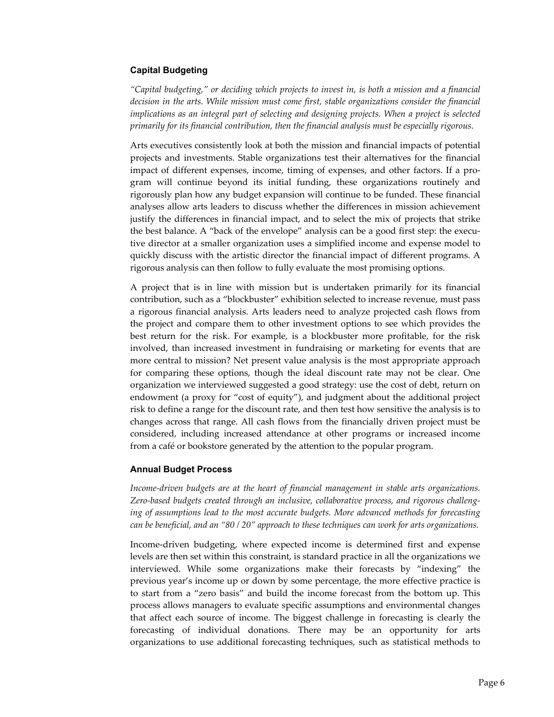#### **Capital Budgeting**

*"Capital budgeting," or deciding which projects to invest in, is both a mission and a financial*  decision in the arts. While mission must come first, stable organizations consider the financial *implications as an integral part of selecting and designing projects. When a project is selected primarily for its financial contribution, then the financial analysis must be especially rigorous.* 

Arts executives consistently look at both the mission and financial impacts of potential projects and investments. Stable organizations test their alternatives for the financial impact of different expenses, income, timing of expenses, and other factors. If a program will continue beyond its initial funding, these organizations routinely and rigorously plan how any budget expansion will continue to be funded. These financial analyses allow arts leaders to discuss whether the differences in mission achievement justify the differences in financial impact, and to select the mix of projects that strike the best balance. A "back of the envelope" analysis can be a good first step: the executive director at a smaller organization uses a simplified income and expense model to quickly discuss with the artistic director the financial impact of different programs. A rigorous analysis can then follow to fully evaluate the most promising options.

A project that is in line with mission but is undertaken primarily for its financial contribution, such as a "blockbuster" exhibition selected to increase revenue, must pass a rigorous financial analysis. Arts leaders need to analyze projected cash flows from the project and compare them to other investment options to see which provides the best return for the risk. For example, is a blockbuster more profitable, for the risk involved, than increased investment in fundraising or marketing for events that are more central to mission? Net present value analysis is the most appropriate approach for comparing these options, though the ideal discount rate may not be clear. One organization we interviewed suggested a good strategy: use the cost of debt, return on endowment (a proxy for "cost of equity"), and judgment about the additional project risk to define a range for the discount rate, and then test how sensitive the analysis is to changes across that range. All cash flows from the financially driven project must be considered, including increased attendance at other programs or increased income from a café or bookstore generated by the attention to the popular program.

#### **Annual Budget Process**

*Income-driven budgets are at the heart of financial management in stable arts organizations. Zero-based budgets created through an inclusive, collaborative process, and rigorous challenging of assumptions lead to the most accurate budgets. More advanced methods for forecasting can be beneficial, and an "80 / 20" approach to these techniques can work for arts organizations.* 

Income-driven budgeting, where expected income is determined first and expense levels are then set within this constraint, is standard practice in all the organizations we interviewed. While some organizations make their forecasts by "indexing" the previous year's income up or down by some percentage, the more effective practice is to start from a "zero basis" and build the income forecast from the bottom up. This process allows managers to evaluate specific assumptions and environmental changes that affect each source of income. The biggest challenge in forecasting is clearly the forecasting of individual donations. There may be an opportunity for arts organizations to use additional forecasting techniques, such as statistical methods to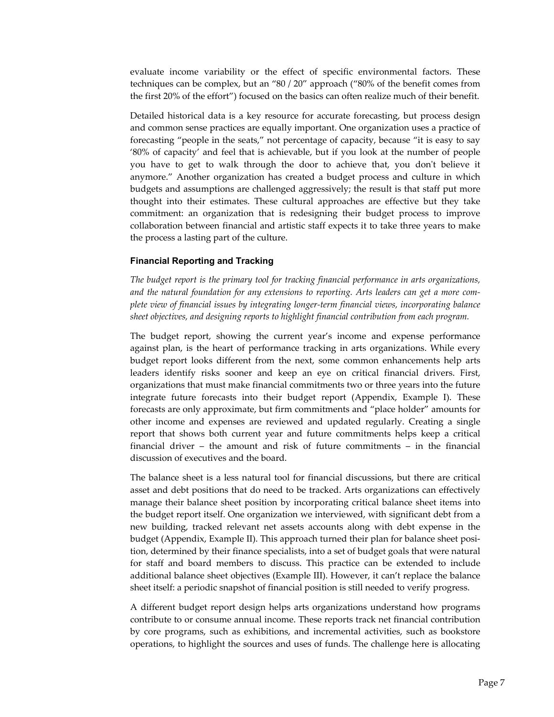evaluate income variability or the effect of specific environmental factors. These techniques can be complex, but an "80 / 20" approach ("80% of the benefit comes from the first 20% of the effort") focused on the basics can often realize much of their benefit.

Detailed historical data is a key resource for accurate forecasting, but process design and common sense practices are equally important. One organization uses a practice of forecasting "people in the seats," not percentage of capacity, because "it is easy to say '80% of capacity' and feel that is achievable, but if you look at the number of people you have to get to walk through the door to achieve that, you don't believe it anymore." Another organization has created a budget process and culture in which budgets and assumptions are challenged aggressively; the result is that staff put more thought into their estimates. These cultural approaches are effective but they take commitment: an organization that is redesigning their budget process to improve collaboration between financial and artistic staff expects it to take three years to make the process a lasting part of the culture.

#### **Financial Reporting and Tracking**

*The budget report is the primary tool for tracking financial performance in arts organizations, and the natural foundation for any extensions to reporting. Arts leaders can get a more complete view of financial issues by integrating longer-term financial views, incorporating balance sheet objectives, and designing reports to highlight financial contribution from each program.* 

The budget report, showing the current year's income and expense performance against plan, is the heart of performance tracking in arts organizations. While every budget report looks different from the next, some common enhancements help arts leaders identify risks sooner and keep an eye on critical financial drivers. First, organizations that must make financial commitments two or three years into the future integrate future forecasts into their budget report (Appendix, Example I). These forecasts are only approximate, but firm commitments and "place holder" amounts for other income and expenses are reviewed and updated regularly. Creating a single report that shows both current year and future commitments helps keep a critical financial driver – the amount and risk of future commitments – in the financial discussion of executives and the board.

The balance sheet is a less natural tool for financial discussions, but there are critical asset and debt positions that do need to be tracked. Arts organizations can effectively manage their balance sheet position by incorporating critical balance sheet items into the budget report itself. One organization we interviewed, with significant debt from a new building, tracked relevant net assets accounts along with debt expense in the budget (Appendix, Example II). This approach turned their plan for balance sheet position, determined by their finance specialists, into a set of budget goals that were natural for staff and board members to discuss. This practice can be extended to include additional balance sheet objectives (Example III). However, it can't replace the balance sheet itself: a periodic snapshot of financial position is still needed to verify progress.

A different budget report design helps arts organizations understand how programs contribute to or consume annual income. These reports track net financial contribution by core programs, such as exhibitions, and incremental activities, such as bookstore operations, to highlight the sources and uses of funds. The challenge here is allocating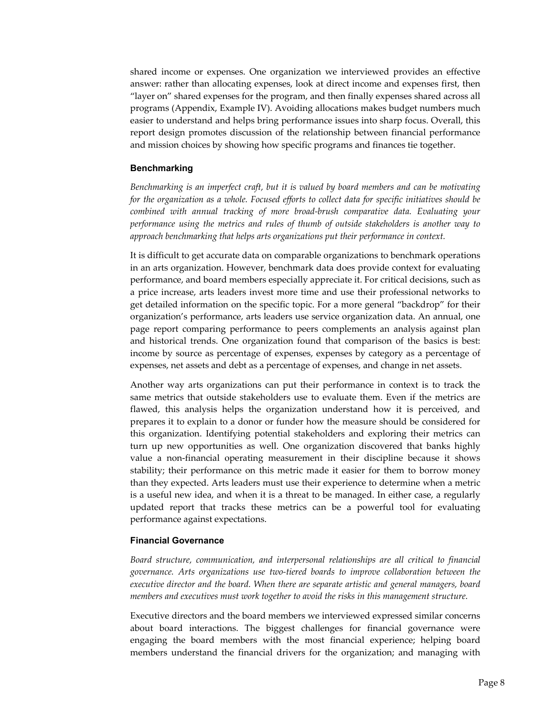shared income or expenses. One organization we interviewed provides an effective answer: rather than allocating expenses, look at direct income and expenses first, then "layer on" shared expenses for the program, and then finally expenses shared across all programs (Appendix, Example IV). Avoiding allocations makes budget numbers much easier to understand and helps bring performance issues into sharp focus. Overall, this report design promotes discussion of the relationship between financial performance and mission choices by showing how specific programs and finances tie together.

#### **Benchmarking**

*Benchmarking is an imperfect craft, but it is valued by board members and can be motivating for the organization as a whole. Focused efforts to collect data for specific initiatives should be combined with annual tracking of more broad-brush comparative data. Evaluating your performance using the metrics and rules of thumb of outside stakeholders is another way to approach benchmarking that helps arts organizations put their performance in context.* 

It is difficult to get accurate data on comparable organizations to benchmark operations in an arts organization. However, benchmark data does provide context for evaluating performance, and board members especially appreciate it. For critical decisions, such as a price increase, arts leaders invest more time and use their professional networks to get detailed information on the specific topic. For a more general "backdrop" for their organization's performance, arts leaders use service organization data. An annual, one page report comparing performance to peers complements an analysis against plan and historical trends. One organization found that comparison of the basics is best: income by source as percentage of expenses, expenses by category as a percentage of expenses, net assets and debt as a percentage of expenses, and change in net assets.

Another way arts organizations can put their performance in context is to track the same metrics that outside stakeholders use to evaluate them. Even if the metrics are flawed, this analysis helps the organization understand how it is perceived, and prepares it to explain to a donor or funder how the measure should be considered for this organization. Identifying potential stakeholders and exploring their metrics can turn up new opportunities as well. One organization discovered that banks highly value a non-financial operating measurement in their discipline because it shows stability; their performance on this metric made it easier for them to borrow money than they expected. Arts leaders must use their experience to determine when a metric is a useful new idea, and when it is a threat to be managed. In either case, a regularly updated report that tracks these metrics can be a powerful tool for evaluating performance against expectations.

#### **Financial Governance**

*Board structure, communication, and interpersonal relationships are all critical to financial governance. Arts organizations use two-tiered boards to improve collaboration between the executive director and the board. When there are separate artistic and general managers, board members and executives must work together to avoid the risks in this management structure.* 

Executive directors and the board members we interviewed expressed similar concerns about board interactions. The biggest challenges for financial governance were engaging the board members with the most financial experience; helping board members understand the financial drivers for the organization; and managing with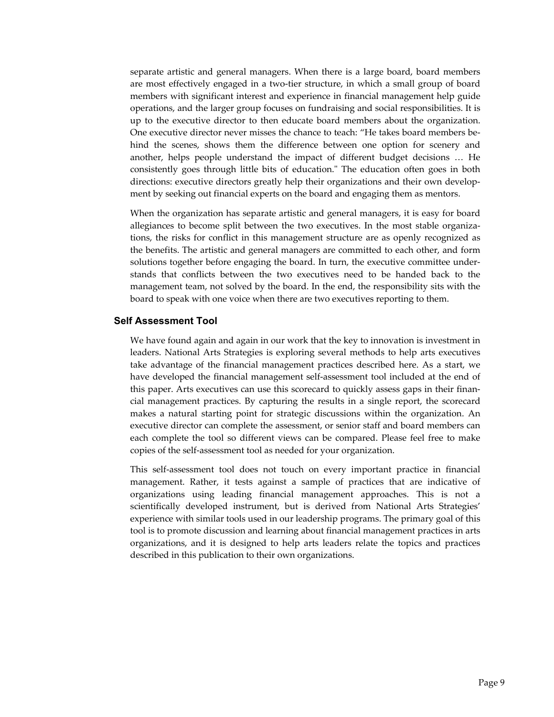separate artistic and general managers. When there is a large board, board members are most effectively engaged in a two-tier structure, in which a small group of board members with significant interest and experience in financial management help guide operations, and the larger group focuses on fundraising and social responsibilities. It is up to the executive director to then educate board members about the organization. One executive director never misses the chance to teach: "He takes board members behind the scenes, shows them the difference between one option for scenery and another, helps people understand the impact of different budget decisions … He consistently goes through little bits of education." The education often goes in both directions: executive directors greatly help their organizations and their own development by seeking out financial experts on the board and engaging them as mentors.

When the organization has separate artistic and general managers, it is easy for board allegiances to become split between the two executives. In the most stable organizations, the risks for conflict in this management structure are as openly recognized as the benefits. The artistic and general managers are committed to each other, and form solutions together before engaging the board. In turn, the executive committee understands that conflicts between the two executives need to be handed back to the management team, not solved by the board. In the end, the responsibility sits with the board to speak with one voice when there are two executives reporting to them.

#### **Self Assessment Tool**

We have found again and again in our work that the key to innovation is investment in leaders. National Arts Strategies is exploring several methods to help arts executives take advantage of the financial management practices described here. As a start, we have developed the financial management self-assessment tool included at the end of this paper. Arts executives can use this scorecard to quickly assess gaps in their financial management practices. By capturing the results in a single report, the scorecard makes a natural starting point for strategic discussions within the organization. An executive director can complete the assessment, or senior staff and board members can each complete the tool so different views can be compared. Please feel free to make copies of the self-assessment tool as needed for your organization.

This self-assessment tool does not touch on every important practice in financial management. Rather, it tests against a sample of practices that are indicative of organizations using leading financial management approaches. This is not a scientifically developed instrument, but is derived from National Arts Strategies' experience with similar tools used in our leadership programs. The primary goal of this tool is to promote discussion and learning about financial management practices in arts organizations, and it is designed to help arts leaders relate the topics and practices described in this publication to their own organizations.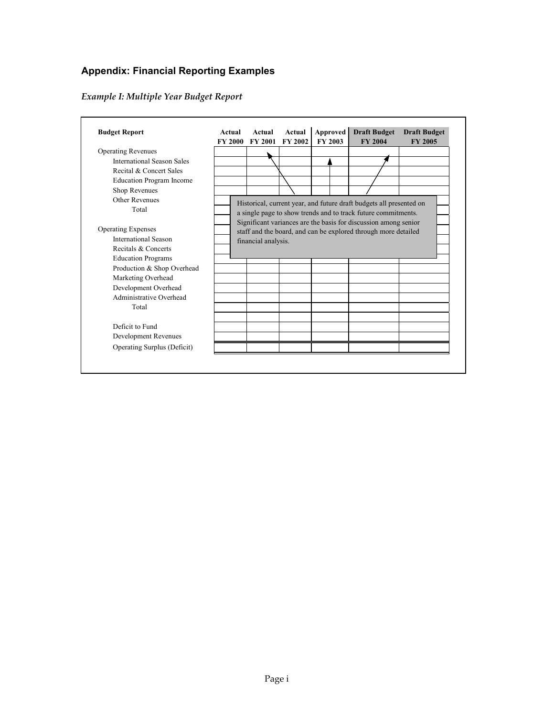## **Appendix: Financial Reporting Examples**

# *Example I: Multiple Year Budget Report*

| <b>Budget Report</b>            | Actual<br><b>FY 2000</b> | Actual<br><b>FY 2001</b> | Actual<br>FY 2002 | Approved | <b>FY 2003</b> | <b>Draft Budget</b><br><b>FY 2004</b>                                                                                                                                                                   | <b>Draft Budget</b><br><b>FY 2005</b> |
|---------------------------------|--------------------------|--------------------------|-------------------|----------|----------------|---------------------------------------------------------------------------------------------------------------------------------------------------------------------------------------------------------|---------------------------------------|
| <b>Operating Revenues</b>       |                          |                          |                   |          |                |                                                                                                                                                                                                         |                                       |
| International Season Sales      |                          |                          |                   |          |                |                                                                                                                                                                                                         |                                       |
| Recital & Concert Sales         |                          |                          |                   |          |                |                                                                                                                                                                                                         |                                       |
| <b>Education Program Income</b> |                          |                          |                   |          |                |                                                                                                                                                                                                         |                                       |
| Shop Revenues                   |                          |                          |                   |          |                |                                                                                                                                                                                                         |                                       |
| Other Revenues<br>Total         |                          |                          |                   |          |                | Historical, current year, and future draft budgets all presented on<br>a single page to show trends and to track future commitments.<br>Significant variances are the basis for discussion among senior |                                       |
| <b>Operating Expenses</b>       |                          |                          |                   |          |                | staff and the board, and can be explored through more detailed                                                                                                                                          |                                       |
| <b>International Season</b>     |                          |                          |                   |          |                |                                                                                                                                                                                                         |                                       |
| Recitals & Concerts             |                          | financial analysis.      |                   |          |                |                                                                                                                                                                                                         |                                       |
| <b>Education Programs</b>       |                          |                          |                   |          |                |                                                                                                                                                                                                         |                                       |
| Production & Shop Overhead      |                          |                          |                   |          |                |                                                                                                                                                                                                         |                                       |
| Marketing Overhead              |                          |                          |                   |          |                |                                                                                                                                                                                                         |                                       |
| Development Overhead            |                          |                          |                   |          |                |                                                                                                                                                                                                         |                                       |
| Administrative Overhead         |                          |                          |                   |          |                |                                                                                                                                                                                                         |                                       |
| Total                           |                          |                          |                   |          |                |                                                                                                                                                                                                         |                                       |
|                                 |                          |                          |                   |          |                |                                                                                                                                                                                                         |                                       |
| Deficit to Fund                 |                          |                          |                   |          |                |                                                                                                                                                                                                         |                                       |
| Development Revenues            |                          |                          |                   |          |                |                                                                                                                                                                                                         |                                       |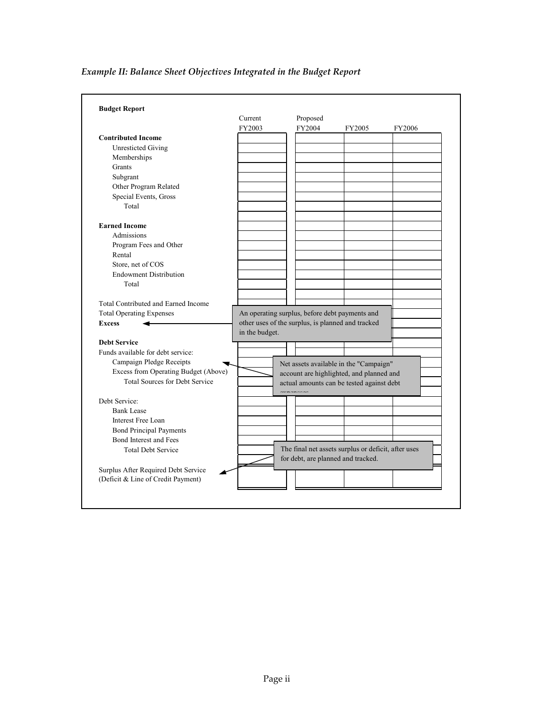# *Example II: Balance Sheet Objectives Integrated in the Budget Report*

|                                       | Current        | Proposed |                                                     |        |
|---------------------------------------|----------------|----------|-----------------------------------------------------|--------|
|                                       | FY2003         | FY2004   | FY2005                                              | FY2006 |
| <b>Contributed Income</b>             |                |          |                                                     |        |
| <b>Unresticted Giving</b>             |                |          |                                                     |        |
| Memberships                           |                |          |                                                     |        |
| Grants                                |                |          |                                                     |        |
| Subgrant                              |                |          |                                                     |        |
| Other Program Related                 |                |          |                                                     |        |
| Special Events, Gross                 |                |          |                                                     |        |
| Total                                 |                |          |                                                     |        |
| <b>Earned Income</b>                  |                |          |                                                     |        |
| Admissions                            |                |          |                                                     |        |
| Program Fees and Other                |                |          |                                                     |        |
| Rental                                |                |          |                                                     |        |
| Store, net of COS                     |                |          |                                                     |        |
| <b>Endowment Distribution</b>         |                |          |                                                     |        |
| Total                                 |                |          |                                                     |        |
|                                       |                |          |                                                     |        |
| Total Contributed and Earned Income   |                |          |                                                     |        |
| <b>Total Operating Expenses</b>       |                |          | An operating surplus, before debt payments and      |        |
| <b>Excess</b>                         |                |          | other uses of the surplus, is planned and tracked   |        |
|                                       | in the budget. |          |                                                     |        |
| <b>Debt Service</b>                   |                |          |                                                     |        |
| Funds available for debt service:     |                |          |                                                     |        |
| Campaign Pledge Receipts              |                |          | Net assets available in the "Campaign"              |        |
| Excess from Operating Budget (Above)  |                |          | account are highlighted, and planned and            |        |
| <b>Total Sources for Debt Service</b> |                |          | actual amounts can be tested against debt           |        |
|                                       |                | $\alpha$ |                                                     |        |
| Debt Service:                         |                |          |                                                     |        |
| <b>Bank Lease</b>                     |                |          |                                                     |        |
| Interest Free Loan                    |                |          |                                                     |        |
| <b>Bond Principal Payments</b>        |                |          |                                                     |        |
| Bond Interest and Fees                |                |          |                                                     |        |
| <b>Total Debt Service</b>             |                |          | The final net assets surplus or deficit, after uses |        |
|                                       |                |          | for debt, are planned and tracked.                  |        |
| Surplus After Required Debt Service   |                |          |                                                     |        |
| (Deficit & Line of Credit Payment)    |                |          |                                                     |        |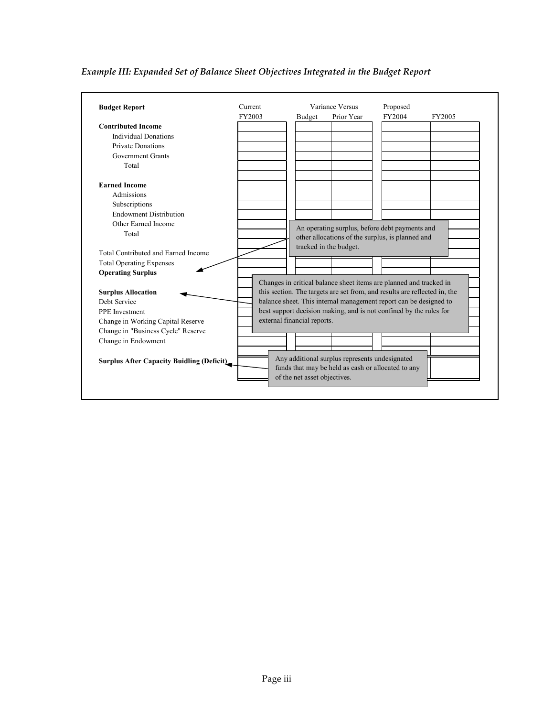## *Example III: Expanded Set of Balance Sheet Objectives Integrated in the Budget Report*

| <b>Budget Report</b>                             |        | Current | Variance Versus              |                                                                                                    | Proposed |        |
|--------------------------------------------------|--------|---------|------------------------------|----------------------------------------------------------------------------------------------------|----------|--------|
|                                                  | FY2003 |         | <b>Budget</b>                | Prior Year                                                                                         | FY2004   | FY2005 |
| <b>Contributed Income</b>                        |        |         |                              |                                                                                                    |          |        |
| <b>Individual Donations</b>                      |        |         |                              |                                                                                                    |          |        |
| <b>Private Donations</b>                         |        |         |                              |                                                                                                    |          |        |
| <b>Government Grants</b>                         |        |         |                              |                                                                                                    |          |        |
| Total                                            |        |         |                              |                                                                                                    |          |        |
| <b>Earned Income</b>                             |        |         |                              |                                                                                                    |          |        |
| Admissions                                       |        |         |                              |                                                                                                    |          |        |
| Subscriptions                                    |        |         |                              |                                                                                                    |          |        |
| <b>Endowment Distribution</b>                    |        |         |                              |                                                                                                    |          |        |
| Other Earned Income                              |        |         |                              |                                                                                                    |          |        |
| Total                                            |        |         |                              | An operating surplus, before debt payments and<br>other allocations of the surplus, is planned and |          |        |
|                                                  |        |         |                              | tracked in the budget.                                                                             |          |        |
| Total Contributed and Earned Income              |        |         |                              |                                                                                                    |          |        |
| <b>Total Operating Expenses</b>                  |        |         |                              |                                                                                                    |          |        |
| <b>Operating Surplus</b>                         |        |         |                              |                                                                                                    |          |        |
|                                                  |        |         |                              | Changes in critical balance sheet items are planned and tracked in                                 |          |        |
| <b>Surplus Allocation</b>                        |        |         |                              | this section. The targets are set from, and results are reflected in, the                          |          |        |
| Debt Service                                     |        |         |                              | balance sheet. This internal management report can be designed to                                  |          |        |
| <b>PPE</b> Investment                            |        |         |                              | best support decision making, and is not confined by the rules for                                 |          |        |
| Change in Working Capital Reserve                |        |         | external financial reports.  |                                                                                                    |          |        |
| Change in "Business Cycle" Reserve               |        |         |                              |                                                                                                    |          |        |
| Change in Endowment                              |        |         |                              |                                                                                                    |          |        |
|                                                  |        |         |                              |                                                                                                    |          |        |
| <b>Surplus After Capacity Buidling (Deficit)</b> |        |         |                              | Any additional surplus represents undesignated                                                     |          |        |
|                                                  |        |         |                              | funds that may be held as cash or allocated to any                                                 |          |        |
|                                                  |        |         | of the net asset objectives. |                                                                                                    |          |        |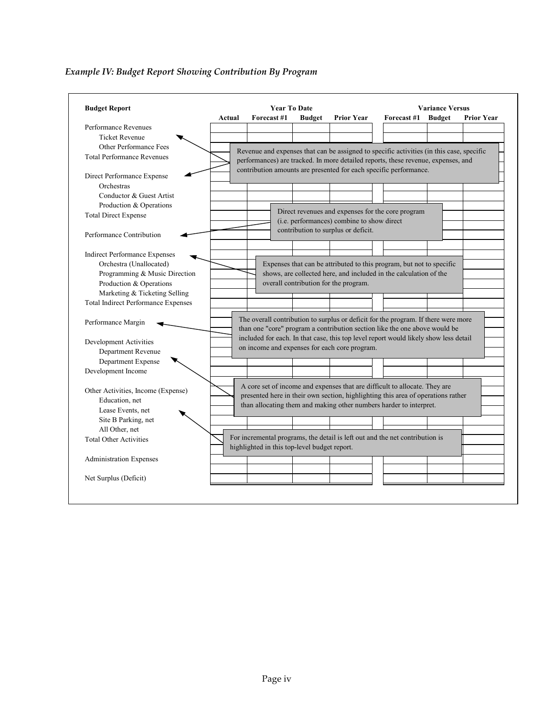#### **Budget Report Actual Forecast #1 Budget Prior Year Forecast #1 Budget Prior Year** Performance Revenues Ticket Revenue Other Performance Fees Total Performance Revenues Direct Performance Expense Orchestras Conductor & Guest Artist Production & Operations Total Direct Expense Performance Contribution Indirect Performance Expenses Orchestra (Unallocated) Programming & Music Direction Production & Operations Marketing & Ticketing Selling Total Indirect Performance Expenses Performance Margin Development Activities Department Revenue Department Expense Development Income Other Activities, Income (Expense) Education, net Lease Events, net Site B Parking, net All Other, net Total Other Activities Administration Expenses Net Surplus (Deficit) **Year To Date Variance Versus** Direct revenues and expenses for the core program (i.e. performances) combine to show direct contribution to surplus or deficit. Expenses that can be attributed to this program, but not to specific shows, are collected here, and included in the calculation of the overall contribution for the program. Revenue and expenses that can be assigned to specific activities (in this case, specific performances) are tracked. In more detailed reports, these revenue, expenses, and contribution amounts are presented for each specific performance. The overall contribution to surplus or deficit for the program. If there were more than one "core" program a contribution section like the one above would be included for each. In that case, this top level report would likely show less detail on income and expenses for each core program. A core set of income and expenses that are difficult to allocate. They are presented here in their own section, highlighting this area of operations rather than allocating them and making other numbers harder to interpret. For incremental programs, the detail is left out and the net contribution is highlighted in this top-level budget report.

## *Example IV: Budget Report Showing Contribution By Program*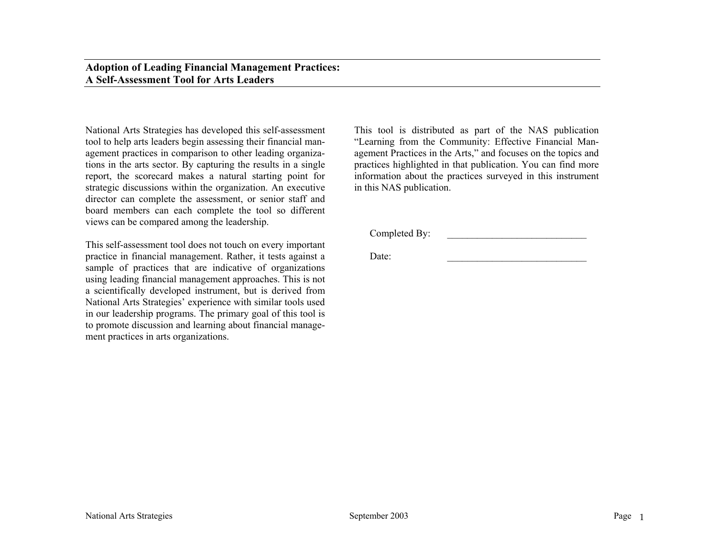### **Adoption of Leading Financial Management Practices: A Self-Assessment Tool for Arts Leaders**

National Arts Strategies has developed this self-assessment tool to help arts leaders begin assessing their financial management practices in comparison to other leading organizations in the arts sector. By capturing the results in a single report, the scorecard makes a natural starting point for strategic discussions within the organization. An executive director can complete the assessment, or senior staff and board members can each complete the tool so different views can be compared among the leadership.

This self-assessment tool does not touch on every important practice in financial management. Rather, it tests against a sample of practices that are indicative of organizations using leading financial management approaches. This is not a scientifically developed instrument, but is derived from National Arts Strategies' experience with similar tools used in our leadership programs. The primary goal of this tool is to promote discussion and learning about financial management practices in arts organizations.

This tool is distributed as part of the NAS publication "Learning from the Community: Effective Financial Management Practices in the Arts," and focuses on the topics and practices highlighted in that publication. You can find more information about the practices surveyed in this instrument in this NAS publication.

Completed By:

Date: \_\_\_\_\_\_\_\_\_\_\_\_\_\_\_\_\_\_\_\_\_\_\_\_\_\_\_\_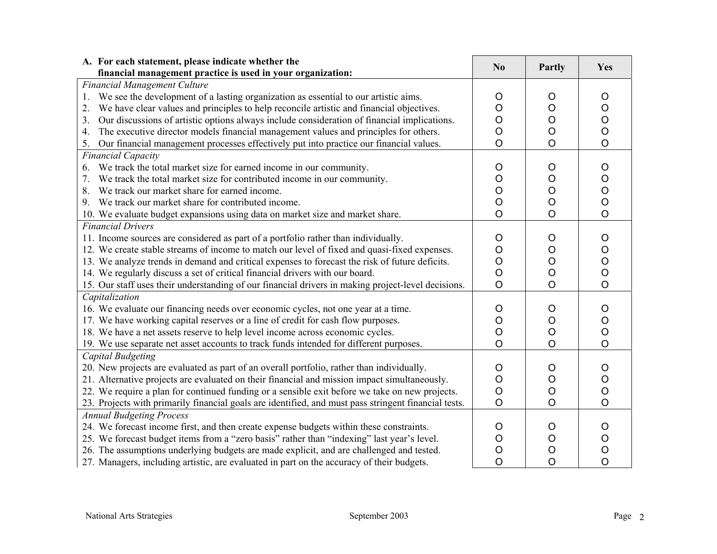| A. For each statement, please indicate whether the                                                                                                                                                                                                                                                                                                                                                                                                                         | No                                            | Partly                                                         | Yes                                                            |
|----------------------------------------------------------------------------------------------------------------------------------------------------------------------------------------------------------------------------------------------------------------------------------------------------------------------------------------------------------------------------------------------------------------------------------------------------------------------------|-----------------------------------------------|----------------------------------------------------------------|----------------------------------------------------------------|
| financial management practice is used in your organization:                                                                                                                                                                                                                                                                                                                                                                                                                |                                               |                                                                |                                                                |
| <b>Financial Management Culture</b><br>We see the development of a lasting organization as essential to our artistic aims.<br>1.<br>We have clear values and principles to help reconcile artistic and financial objectives.<br>2.<br>Our discussions of artistic options always include consideration of financial implications.<br>3.<br>The executive director models financial management values and principles for others.<br>4.                                      | O<br>O<br>O<br>$\circ$                        | O<br>$\mathsf O$<br>$\mathsf O$<br>$\circ$                     | O<br>O<br>$\mathsf O$<br>$\mathsf O$                           |
| Our financial management processes effectively put into practice our financial values.<br>5.                                                                                                                                                                                                                                                                                                                                                                               | $\circ$                                       | $\overline{O}$                                                 | $\circ$                                                        |
| <b>Financial Capacity</b>                                                                                                                                                                                                                                                                                                                                                                                                                                                  |                                               |                                                                |                                                                |
| We track the total market size for earned income in our community.<br>6.<br>We track the total market size for contributed income in our community.<br>7.<br>We track our market share for earned income.<br>8.<br>9. We track our market share for contributed income.<br>10. We evaluate budget expansions using data on market size and market share.                                                                                                                   | $\circ$<br>O<br>O<br>O<br>$\overline{O}$      | $\circ$<br>$\circ$<br>$\circ$<br>$\mathsf O$<br>$\overline{O}$ | $\circ$<br>$\circ$<br>$\circ$<br>$\circ$<br>$\overline{O}$     |
| <b>Financial Drivers</b>                                                                                                                                                                                                                                                                                                                                                                                                                                                   |                                               |                                                                |                                                                |
| 11. Income sources are considered as part of a portfolio rather than individually.<br>12. We create stable streams of income to match our level of fixed and quasi-fixed expenses.<br>13. We analyze trends in demand and critical expenses to forecast the risk of future deficits.<br>14. We regularly discuss a set of critical financial drivers with our board.<br>15. Our staff uses their understanding of our financial drivers in making project-level decisions. | $\circ$<br>O<br>$\circ$<br>$\circ$<br>$\circ$ | $\circ$<br>$\circ$<br>$\circ$<br>$\circ$<br>$\circ$            | $\circ$<br>$\circ$<br>$\mathsf O$<br>$\circ$<br>$\overline{O}$ |
| Capitalization                                                                                                                                                                                                                                                                                                                                                                                                                                                             |                                               |                                                                |                                                                |
| 16. We evaluate our financing needs over economic cycles, not one year at a time.<br>17. We have working capital reserves or a line of credit for cash flow purposes.<br>18. We have a net assets reserve to help level income across economic cycles.<br>19. We use separate net asset accounts to track funds intended for different purposes.                                                                                                                           | $\circ$<br>O<br>O<br>$\circ$                  | $\circ$<br>$\mathsf O$<br>$\overline{O}$<br>$\overline{O}$     | $\circ$<br>$\mathsf O$<br>$\overline{O}$<br>$\overline{O}$     |
| <b>Capital Budgeting</b><br>20. New projects are evaluated as part of an overall portfolio, rather than individually.<br>21. Alternative projects are evaluated on their financial and mission impact simultaneously.<br>22. We require a plan for continued funding or a sensible exit before we take on new projects.<br>23. Projects with primarily financial goals are identified, and must pass stringent financial tests.                                            | O<br>$\circ$<br>$\circ$<br>$\circ$            | O<br>$\bigcirc$<br>$\mathsf O$<br>$\circ$                      | O<br>$\circ$<br>$\circ$<br>$\circ$                             |
| <b>Annual Budgeting Process</b><br>24. We forecast income first, and then create expense budgets within these constraints.<br>25. We forecast budget items from a "zero basis" rather than "indexing" last year's level.<br>26. The assumptions underlying budgets are made explicit, and are challenged and tested.<br>27. Managers, including artistic, are evaluated in part on the accuracy of their budgets.                                                          | O<br>O<br>O<br>$\circ$                        | O<br>$\circ$<br>$\circ$<br>$\overline{O}$                      | O<br>$\circ$<br>$\circ$<br>$\overline{O}$                      |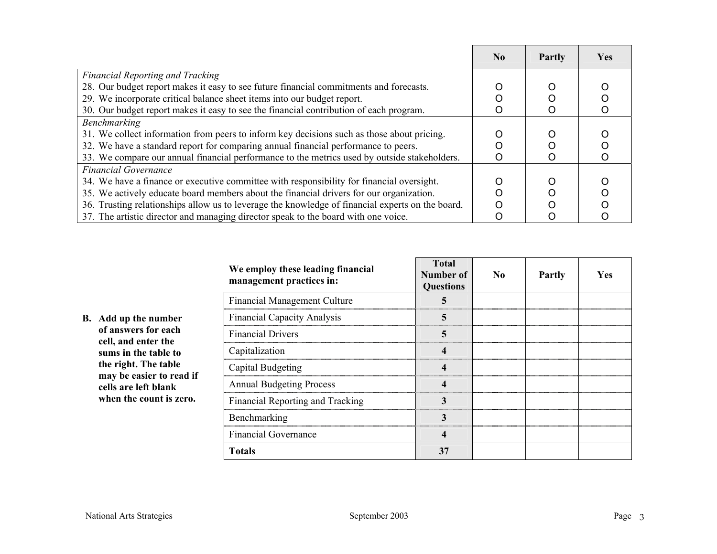|                                                                                                  | $\bf N_0$ | <b>Partly</b> | <b>Yes</b> |
|--------------------------------------------------------------------------------------------------|-----------|---------------|------------|
| <b>Financial Reporting and Tracking</b>                                                          |           |               |            |
| 28. Our budget report makes it easy to see future financial commitments and forecasts.           |           |               |            |
| 29. We incorporate critical balance sheet items into our budget report.                          |           |               |            |
| 30. Our budget report makes it easy to see the financial contribution of each program.           |           |               |            |
| Benchmarking                                                                                     |           |               |            |
| 31. We collect information from peers to inform key decisions such as those about pricing.       |           |               |            |
| 32. We have a standard report for comparing annual financial performance to peers.               |           |               |            |
| 33. We compare our annual financial performance to the metrics used by outside stakeholders.     |           |               |            |
| <b>Financial Governance</b>                                                                      |           |               |            |
| 34. We have a finance or executive committee with responsibility for financial oversight.        |           |               |            |
| 35. We actively educate board members about the financial drivers for our organization.          |           |               |            |
| 36. Trusting relationships allow us to leverage the knowledge of financial experts on the board. |           |               |            |
| 37. The artistic director and managing director speak to the board with one voice.               |           |               |            |

| We employ these leading financial<br>management practices in: | Total<br>Number of<br><b>Questions</b> | No. | <b>Partly</b> | <b>Yes</b> |
|---------------------------------------------------------------|----------------------------------------|-----|---------------|------------|
| <b>Financial Management Culture</b>                           |                                        |     |               |            |
| <b>Financial Capacity Analysis</b>                            | 5                                      |     |               |            |
| <b>Financial Drivers</b>                                      | 5                                      |     |               |            |
| Capitalization                                                |                                        |     |               |            |
| Capital Budgeting                                             |                                        |     |               |            |
| <b>Annual Budgeting Process</b>                               |                                        |     |               |            |
| Financial Reporting and Tracking                              | 3                                      |     |               |            |
| Benchmarking                                                  | $\mathbf 3$                            |     |               |            |
| <b>Financial Governance</b>                                   | 4                                      |     |               |            |
| <b>Totals</b>                                                 | 37                                     |     |               |            |

 $\blacksquare$ 

┱

**B. Add up the number of answers for each cell, and enter the sums in the table to the right. The table may be easier to read if cells are left blank when the count is zero.**